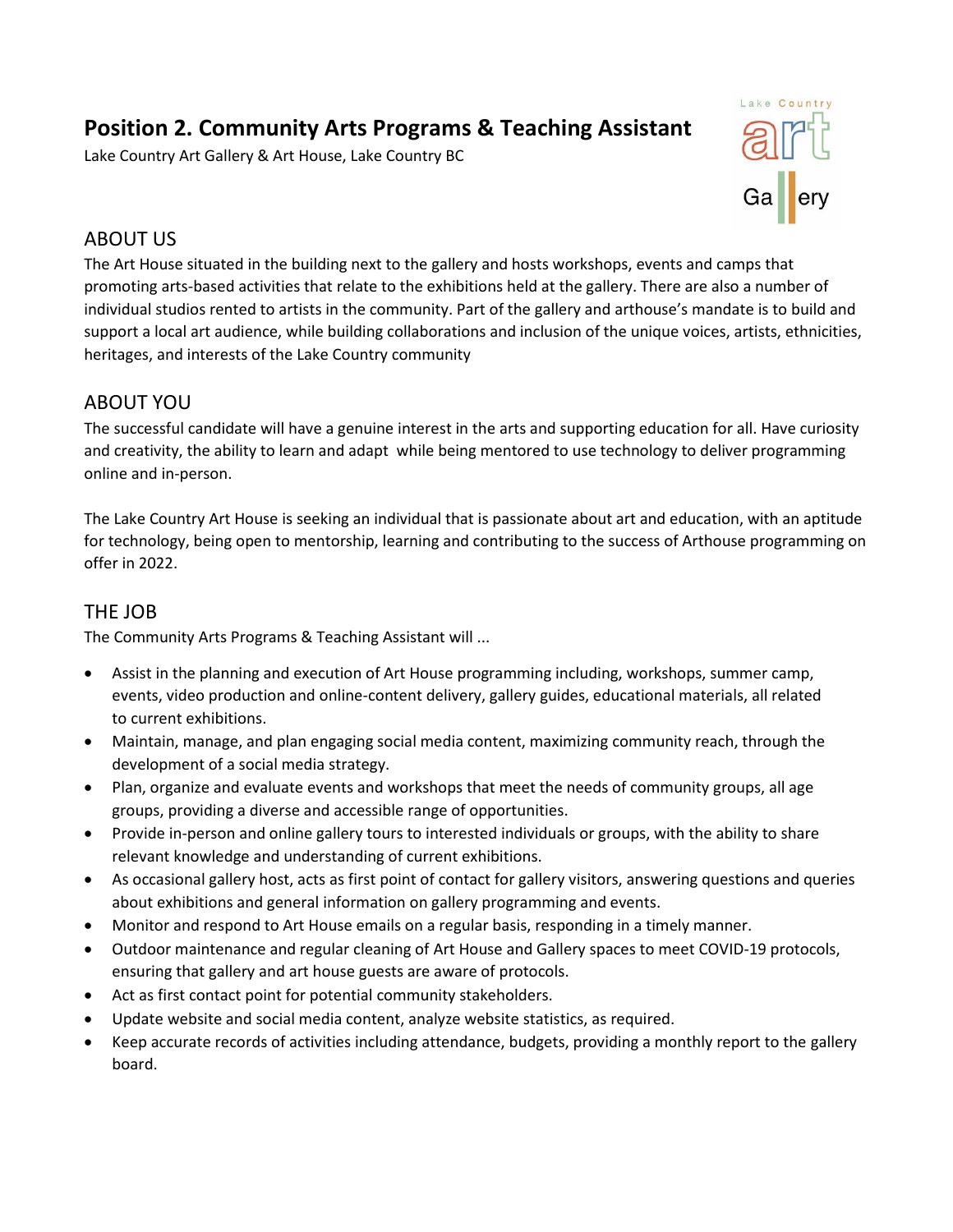# **Position 2. Community Arts Programs & Teaching Assistant**

Lake Country Art Gallery & Art House, Lake Country BC



## ABOUT US

The Art House situated in the building next to the gallery and hosts workshops, events and camps that promoting arts-based activities that relate to the exhibitions held at the gallery. There are also a number of individual studios rented to artists in the community. Part of the gallery and arthouse's mandate is to build and support a local art audience, while building collaborations and inclusion of the unique voices, artists, ethnicities, heritages, and interests of the Lake Country community

## ABOUT YOU

The successful candidate will have a genuine interest in the arts and supporting education for all. Have curiosity and creativity, the ability to learn and adapt while being mentored to use technology to deliver programming online and in-person.

The Lake Country Art House is seeking an individual that is passionate about art and education, with an aptitude for technology, being open to mentorship, learning and contributing to the success of Arthouse programming on offer in 2022.

## THE JOB

The Community Arts Programs & Teaching Assistant will ...

- Assist in the planning and execution of Art House programming including, workshops, summer camp, events, video production and online-content delivery, gallery guides, educational materials, all related to current exhibitions.
- Maintain, manage, and plan engaging social media content, maximizing community reach, through the development of a social media strategy.
- Plan, organize and evaluate events and workshops that meet the needs of community groups, all age groups, providing a diverse and accessible range of opportunities.
- Provide in-person and online gallery tours to interested individuals or groups, with the ability to share relevant knowledge and understanding of current exhibitions.
- As occasional gallery host, acts as first point of contact for gallery visitors, answering questions and queries about exhibitions and general information on gallery programming and events.
- Monitor and respond to Art House emails on a regular basis, responding in a timely manner.
- Outdoor maintenance and regular cleaning of Art House and Gallery spaces to meet COVID-19 protocols, ensuring that gallery and art house guests are aware of protocols.
- Act as first contact point for potential community stakeholders.
- Update website and social media content, analyze website statistics, as required.
- Keep accurate records of activities including attendance, budgets, providing a monthly report to the gallery board.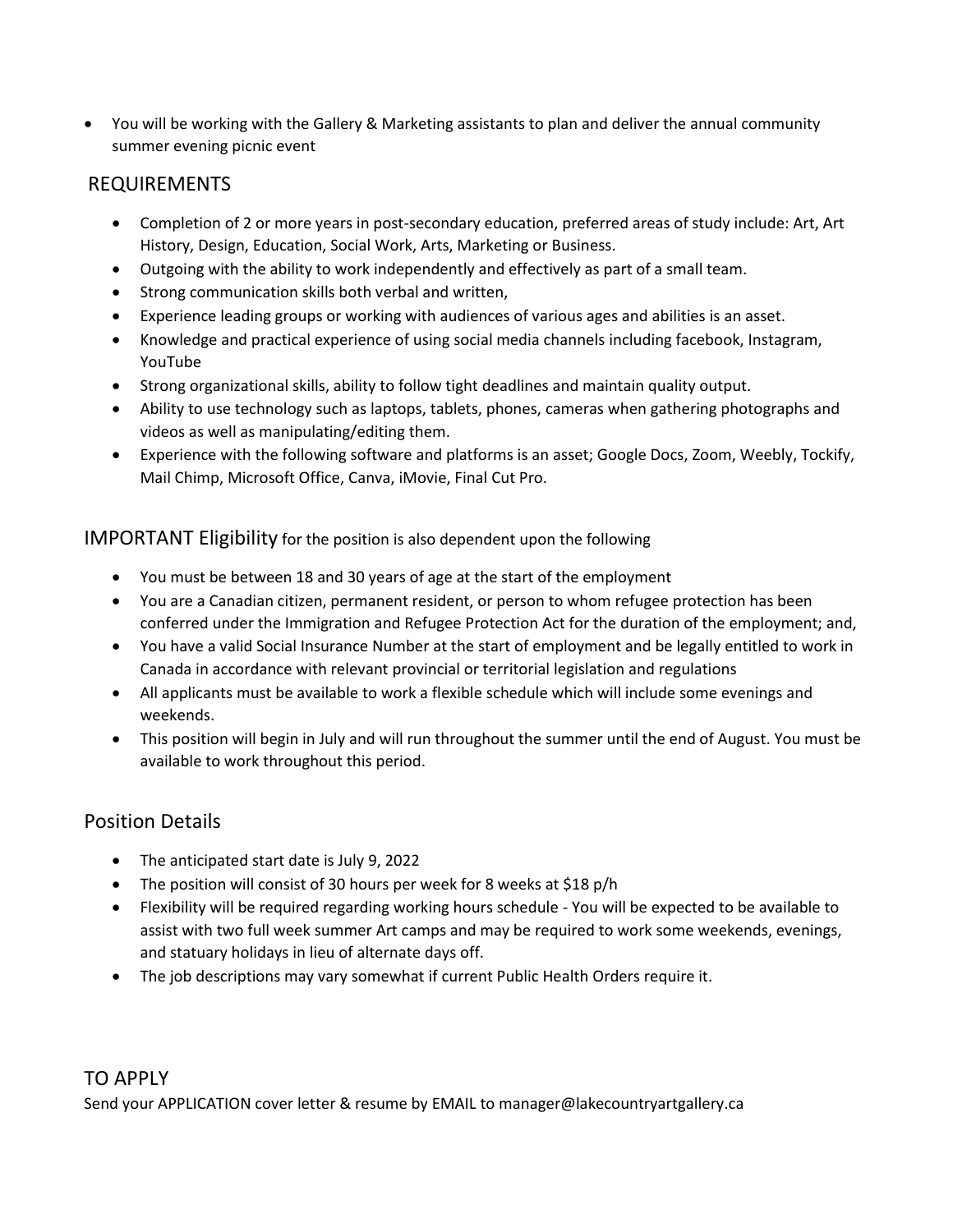• You will be working with the Gallery & Marketing assistants to plan and deliver the annual community summer evening picnic event

#### REQUIREMENTS

- Completion of 2 or more years in post-secondary education, preferred areas of study include: Art, Art History, Design, Education, Social Work, Arts, Marketing or Business.
- Outgoing with the ability to work independently and effectively as part of a small team.
- Strong communication skills both verbal and written,
- Experience leading groups or working with audiences of various ages and abilities is an asset.
- Knowledge and practical experience of using social media channels including facebook, Instagram, YouTube
- Strong organizational skills, ability to follow tight deadlines and maintain quality output.
- Ability to use technology such as laptops, tablets, phones, cameras when gathering photographs and videos as well as manipulating/editing them.
- Experience with the following software and platforms is an asset; Google Docs, Zoom, Weebly, Tockify, Mail Chimp, Microsoft Office, Canva, iMovie, Final Cut Pro.

IMPORTANT Eligibility for the position is also dependent upon the following

- You must be between 18 and 30 years of age at the start of the employment
- You are a Canadian citizen, permanent resident, or person to whom refugee protection has been conferred under the Immigration and Refugee Protection Act for the duration of the employment; and,
- You have a valid Social Insurance Number at the start of employment and be legally entitled to work in Canada in accordance with relevant provincial or territorial legislation and regulations
- All applicants must be available to work a flexible schedule which will include some evenings and weekends.
- This position will begin in July and will run throughout the summer until the end of August. You must be available to work throughout this period.

#### Position Details

- The anticipated start date is July 9, 2022
- The position will consist of 30 hours per week for 8 weeks at \$18 p/h
- Flexibility will be required regarding working hours schedule You will be expected to be available to assist with two full week summer Art camps and may be required to work some weekends, evenings, and statuary holidays in lieu of alternate days off.
- The job descriptions may vary somewhat if current Public Health Orders require it.

#### TO APPLY

Send your APPLICATION cover letter & resume by EMAIL to manager@lakecountryartgallery.ca